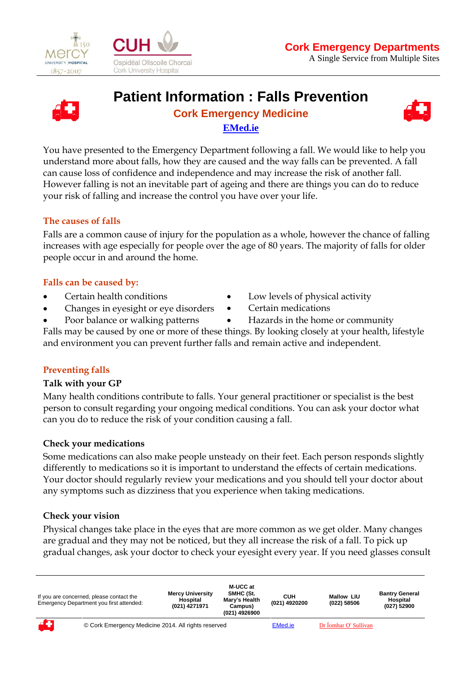

 $\overline{a}$ 





# **Patient Information : Falls Prevention**

## **Cork Emergency Medicine EMed.ie**



You have presented to the Emergency Department following a fall. We would like to help you understand more about falls, how they are caused and the way falls can be prevented. A fall can cause loss of confidence and independence and may increase the risk of another fall. However falling is not an inevitable part of ageing and there are things you can do to reduce your risk of falling and increase the control you have over your life.

### **The causes of falls**

Falls are a common cause of injury for the population as a whole, however the chance of falling increases with age especially for people over the age of 80 years. The majority of falls for older people occur in and around the home.

### **Falls can be caused by:**

- Certain health conditions
- Changes in eyesight or eye disorders
- Poor balance or walking patterns
- Low levels of physical activity
- Certain medications
- Hazards in the home or community

Falls may be caused by one or more of these things. By looking closely at your health, lifestyle and environment you can prevent further falls and remain active and independent.

### **Preventing falls**

### **Talk with your GP**

Many health conditions contribute to falls. Your general practitioner or specialist is the best person to consult regarding your ongoing medical conditions. You can ask your doctor what can you do to reduce the risk of your condition causing a fall.

### **Check your medications**

Some medications can also make people unsteady on their feet. Each person responds slightly differently to medications so it is important to understand the effects of certain medications. Your doctor should regularly review your medications and you should tell your doctor about any symptoms such as dizziness that you experience when taking medications.

### **Check your vision**

Physical changes take place in the eyes that are more common as we get older. Many changes are gradual and they may not be noticed, but they all increase the risk of a fall. To pick up gradual changes, ask your doctor to check your eyesight every year. If you need glasses consult

|    | If you are concerned, please contact the<br>Emergency Department you first attended: | <b>Mercy University</b><br>Hospital<br>(021) 4271971 | M-UCC at<br>SMHC (St.<br>Mary's Health<br>Campus)<br>(021) 4926900 | син<br>(021) 4920200 | <b>Mallow LIU</b><br>(022) 58506 | <b>Bantry General</b><br>Hospital<br>(027) 52900 |
|----|--------------------------------------------------------------------------------------|------------------------------------------------------|--------------------------------------------------------------------|----------------------|----------------------------------|--------------------------------------------------|
| 43 | © Cork Emergency Medicine 2014. All rights reserved                                  |                                                      |                                                                    | <b>EMed.ie</b>       | Dr Íomhar O' Sullivan            |                                                  |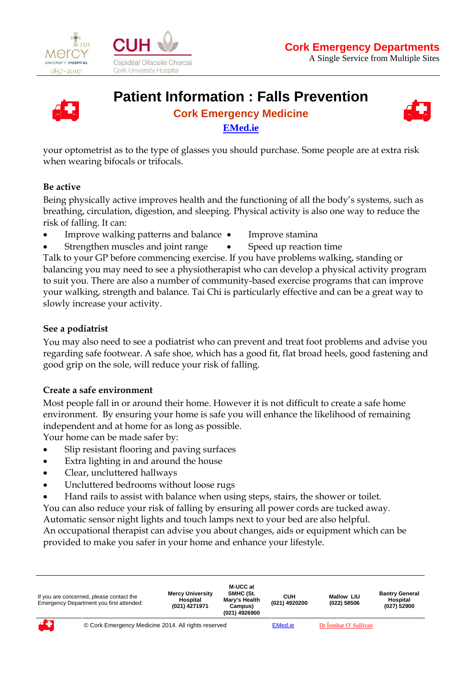

 $\overline{a}$ 





# **Patient Information : Falls Prevention**

## **Cork Emergency Medicine EMed.ie**



your optometrist as to the type of glasses you should purchase. Some people are at extra risk when wearing bifocals or trifocals.

### **Be active**

Being physically active improves health and the functioning of all the body's systems, such as breathing, circulation, digestion, and sleeping. Physical activity is also one way to reduce the risk of falling. It can:

- Improve walking patterns and balance
	- Improve stamina
- Strengthen muscles and joint range
- Speed up reaction time

Talk to your GP before commencing exercise. If you have problems walking, standing or balancing you may need to see a physiotherapist who can develop a physical activity program to suit you. There are also a number of community-based exercise programs that can improve your walking, strength and balance. Tai Chi is particularly effective and can be a great way to slowly increase your activity.

#### **See a podiatrist**

You may also need to see a podiatrist who can prevent and treat foot problems and advise you regarding safe footwear. A safe shoe, which has a good fit, flat broad heels, good fastening and good grip on the sole, will reduce your risk of falling.

### **Create a safe environment**

Most people fall in or around their home. However it is not difficult to create a safe home environment. By ensuring your home is safe you will enhance the likelihood of remaining independent and at home for as long as possible.

Your home can be made safer by:

- Slip resistant flooring and paving surfaces
- Extra lighting in and around the house
- Clear, uncluttered hallways
- Uncluttered bedrooms without loose rugs
- Hand rails to assist with balance when using steps, stairs, the shower or toilet.

You can also reduce your risk of falling by ensuring all power cords are tucked away.

Automatic sensor night lights and touch lamps next to your bed are also helpful.

An occupational therapist can advise you about changes, aids or equipment which can be provided to make you safer in your home and enhance your lifestyle.

| If you are concerned, please contact the<br>Emergency Department you first attended: | <b>Mercy University</b><br>Hospital<br>(021) 4271971 | M-UCC at<br>SMHC (St.<br>Mary's Health<br>Campus)<br>(021) 4926900 | CUH<br>(021) 4920200 | <b>Mallow LIU</b><br>(022) 58506 | <b>Bantry General</b><br>Hospital<br>(027) 52900 |
|--------------------------------------------------------------------------------------|------------------------------------------------------|--------------------------------------------------------------------|----------------------|----------------------------------|--------------------------------------------------|
| © Cork Emergency Medicine 2014. All rights reserved                                  |                                                      |                                                                    | <b>EMed.ie</b>       | Dr Íomhar O' Sullivan            |                                                  |